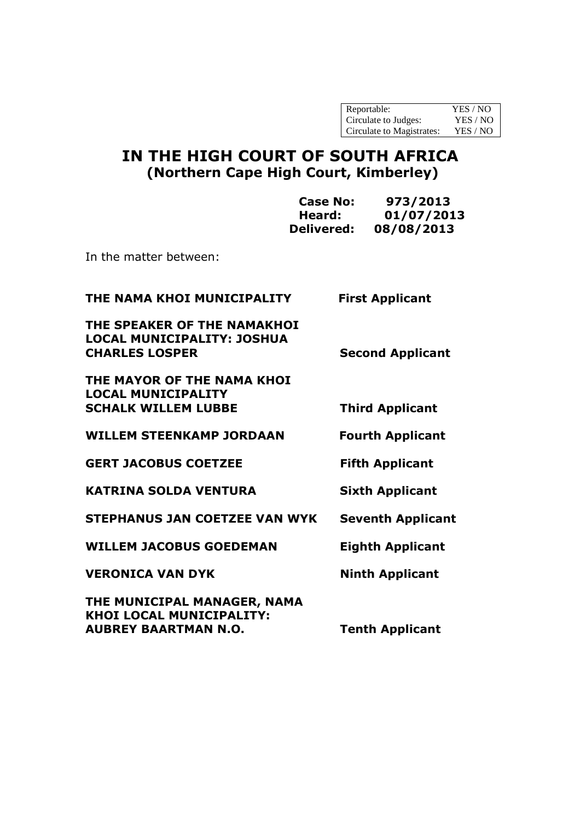| Reportable:               | YES / NO |
|---------------------------|----------|
| Circulate to Judges:      | YES / NO |
| Circulate to Magistrates: | YES / NO |

# **IN THE HIGH COURT OF SOUTH AFRICA (Northern Cape High Court, Kimberley)**

|                                                                                           | <b>Case No:</b><br>Heard:<br><b>Delivered:</b> | 973/2013<br>01/07/2013<br>08/08/2013 |
|-------------------------------------------------------------------------------------------|------------------------------------------------|--------------------------------------|
| In the matter between:                                                                    |                                                |                                      |
| THE NAMA KHOI MUNICIPALITY                                                                |                                                | <b>First Applicant</b>               |
| THE SPEAKER OF THE NAMAKHOI<br><b>LOCAL MUNICIPALITY: JOSHUA</b><br><b>CHARLES LOSPER</b> |                                                | <b>Second Applicant</b>              |
| THE MAYOR OF THE NAMA KHOI<br><b>LOCAL MUNICIPALITY</b><br><b>SCHALK WILLEM LUBBE</b>     |                                                | <b>Third Applicant</b>               |
| <b>WILLEM STEENKAMP JORDAAN</b>                                                           |                                                | <b>Fourth Applicant</b>              |
| <b>GERT JACOBUS COETZEE</b>                                                               |                                                | <b>Fifth Applicant</b>               |
| <b>KATRINA SOLDA VENTURA</b>                                                              |                                                | <b>Sixth Applicant</b>               |
| <b>STEPHANUS JAN COETZEE VAN WYK</b>                                                      |                                                | <b>Seventh Applicant</b>             |
| <b>WILLEM JACOBUS GOEDEMAN</b>                                                            |                                                | <b>Eighth Applicant</b>              |
| <b>VERONICA VAN DYK</b>                                                                   |                                                | <b>Ninth Applicant</b>               |
| THE MUNICIPAL MANAGER, NAMA<br>KHOI LOCAL MUNICIPALITY:<br><b>AUBREY BAARTMAN N.O.</b>    |                                                | <b>Tenth Applicant</b>               |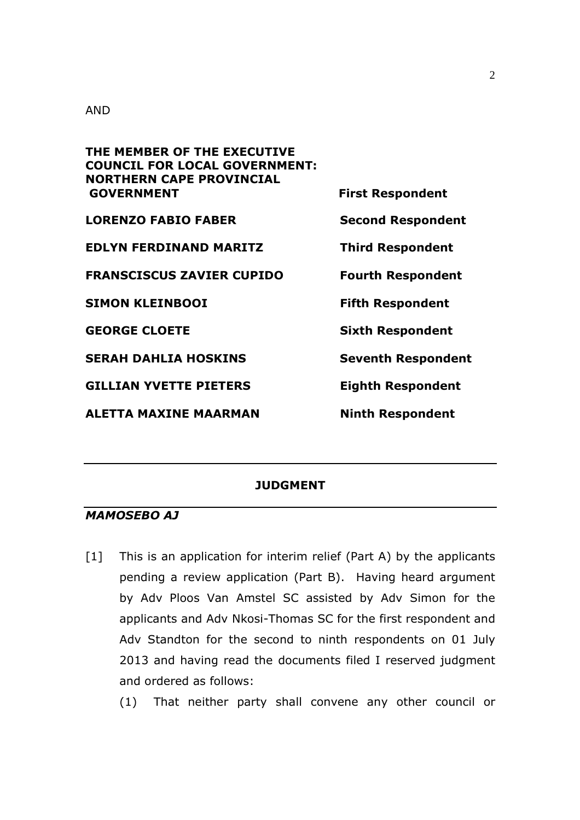#### AND

| THE MEMBER OF THE EXECUTIVE<br><b>COUNCIL FOR LOCAL GOVERNMENT:</b> |                           |
|---------------------------------------------------------------------|---------------------------|
| <b>NORTHERN CAPE PROVINCIAL</b><br><b>GOVERNMENT</b>                | <b>First Respondent</b>   |
| <b>LORENZO FABIO FABER</b>                                          | <b>Second Respondent</b>  |
| <b>EDLYN FERDINAND MARITZ</b>                                       | <b>Third Respondent</b>   |
| <b>FRANSCISCUS ZAVIER CUPIDO</b>                                    | <b>Fourth Respondent</b>  |
| <b>SIMON KLEINBOOI</b>                                              | <b>Fifth Respondent</b>   |
| <b>GEORGE CLOETE</b>                                                | <b>Sixth Respondent</b>   |
| <b>SERAH DAHLIA HOSKINS</b>                                         | <b>Seventh Respondent</b> |
| <b>GILLIAN YVETTE PIETERS</b>                                       | <b>Eighth Respondent</b>  |
| <b>ALETTA MAXINE MAARMAN</b>                                        | <b>Ninth Respondent</b>   |

#### **JUDGMENT**

#### *MAMOSEBO AJ*

[1] This is an application for interim relief (Part A) by the applicants pending a review application (Part B). Having heard argument by Adv Ploos Van Amstel SC assisted by Adv Simon for the applicants and Adv Nkosi-Thomas SC for the first respondent and Adv Standton for the second to ninth respondents on 01 July 2013 and having read the documents filed I reserved judgment and ordered as follows:

(1) That neither party shall convene any other council or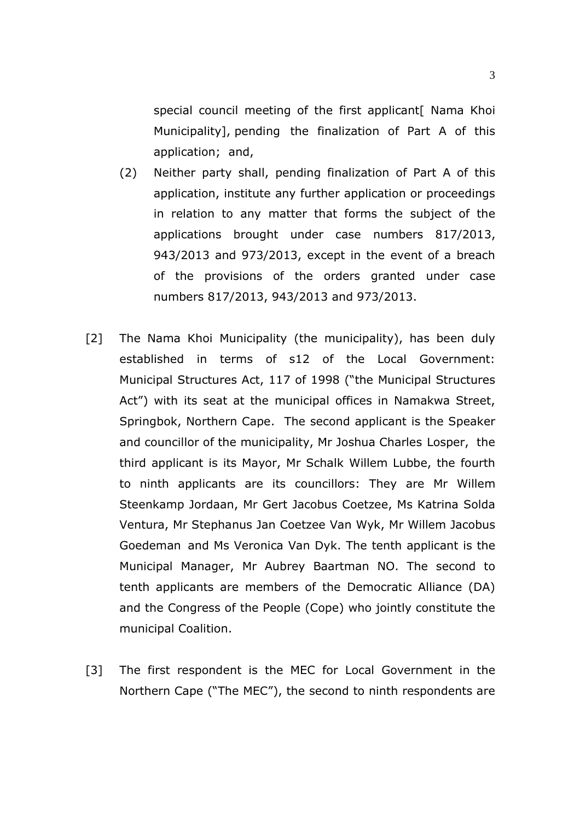special council meeting of the first applicant[ Nama Khoi Municipality], pending the finalization of Part A of this application; and,

- (2) Neither party shall, pending finalization of Part A of this application, institute any further application or proceedings in relation to any matter that forms the subject of the applications brought under case numbers 817/2013, 943/2013 and 973/2013, except in the event of a breach of the provisions of the orders granted under case numbers 817/2013, 943/2013 and 973/2013.
- [2] The Nama Khoi Municipality (the municipality), has been duly established in terms of s12 of the Local Government: Municipal Structures Act, 117 of 1998 ("the Municipal Structures Act") with its seat at the municipal offices in Namakwa Street, Springbok, Northern Cape. The second applicant is the Speaker and councillor of the municipality, Mr Joshua Charles Losper, the third applicant is its Mayor, Mr Schalk Willem Lubbe, the fourth to ninth applicants are its councillors: They are Mr Willem Steenkamp Jordaan, Mr Gert Jacobus Coetzee, Ms Katrina Solda Ventura, Mr Stephanus Jan Coetzee Van Wyk, Mr Willem Jacobus Goedeman and Ms Veronica Van Dyk. The tenth applicant is the Municipal Manager, Mr Aubrey Baartman NO. The second to tenth applicants are members of the Democratic Alliance (DA) and the Congress of the People (Cope) who jointly constitute the municipal Coalition.
- [3] The first respondent is the MEC for Local Government in the Northern Cape ("The MEC"), the second to ninth respondents are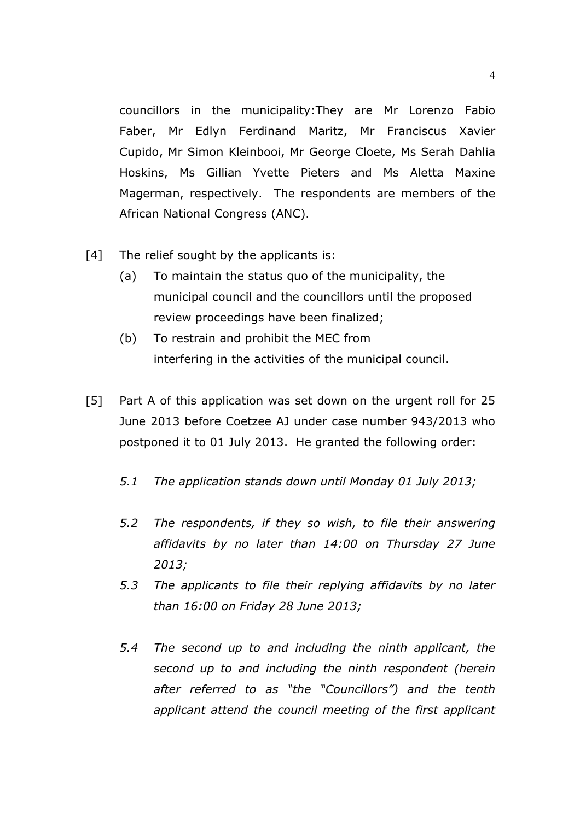councillors in the municipality:They are Mr Lorenzo Fabio Faber, Mr Edlyn Ferdinand Maritz, Mr Franciscus Xavier Cupido, Mr Simon Kleinbooi, Mr George Cloete, Ms Serah Dahlia Hoskins, Ms Gillian Yvette Pieters and Ms Aletta Maxine Magerman, respectively. The respondents are members of the African National Congress (ANC).

- [4] The relief sought by the applicants is:
	- (a) To maintain the status quo of the municipality, the municipal council and the councillors until the proposed review proceedings have been finalized;
	- (b) To restrain and prohibit the MEC from interfering in the activities of the municipal council.
- [5] Part A of this application was set down on the urgent roll for 25 June 2013 before Coetzee AJ under case number 943/2013 who postponed it to 01 July 2013. He granted the following order:
	- *5.1 The application stands down until Monday 01 July 2013;*
	- *5.2 The respondents, if they so wish, to file their answering affidavits by no later than 14:00 on Thursday 27 June 2013;*
	- *5.3 The applicants to file their replying affidavits by no later than 16:00 on Friday 28 June 2013;*
	- *5.4 The second up to and including the ninth applicant, the second up to and including the ninth respondent (herein after referred to as "the "Councillors") and the tenth applicant attend the council meeting of the first applicant*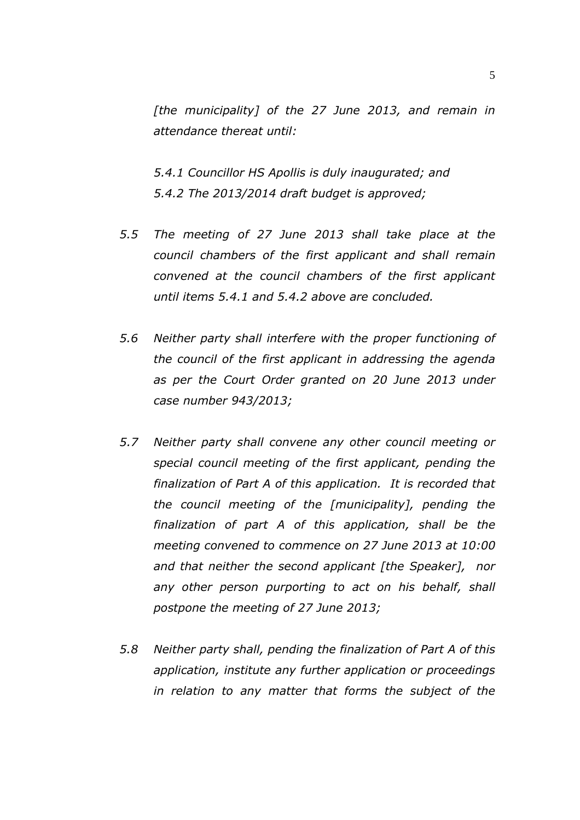*[the municipality] of the 27 June 2013, and remain in attendance thereat until:* 

 *5.4.1 Councillor HS Apollis is duly inaugurated; and 5.4.2 The 2013/2014 draft budget is approved;* 

- *5.5 The meeting of 27 June 2013 shall take place at the council chambers of the first applicant and shall remain convened at the council chambers of the first applicant until items 5.4.1 and 5.4.2 above are concluded.*
- *5.6 Neither party shall interfere with the proper functioning of the council of the first applicant in addressing the agenda as per the Court Order granted on 20 June 2013 under case number 943/2013;*
- *5.7 Neither party shall convene any other council meeting or special council meeting of the first applicant, pending the finalization of Part A of this application. It is recorded that the council meeting of the [municipality], pending the finalization of part A of this application, shall be the meeting convened to commence on 27 June 2013 at 10:00 and that neither the second applicant [the Speaker], nor any other person purporting to act on his behalf, shall postpone the meeting of 27 June 2013;*
- *5.8 Neither party shall, pending the finalization of Part A of this application, institute any further application or proceedings in relation to any matter that forms the subject of the*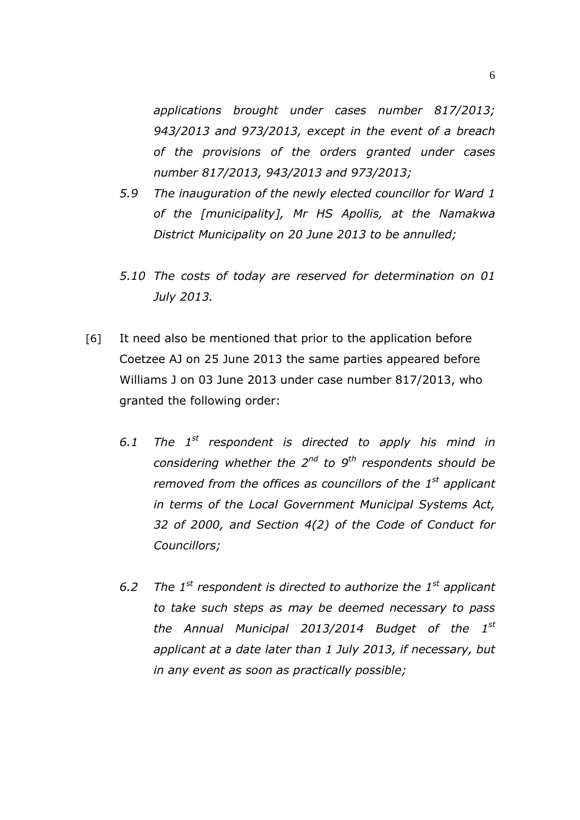*applications brought under cases number 817/2013; 943/2013 and 973/2013, except in the event of a breach of the provisions of the orders granted under cases number 817/2013, 943/2013 and 973/2013;* 

- *5.9 The inauguration of the newly elected councillor for Ward 1 of the [municipality], Mr HS Apollis, at the Namakwa District Municipality on 20 June 2013 to be annulled;*
- *5.10 The costs of today are reserved for determination on 01 July 2013.*
- [6] It need also be mentioned that prior to the application before Coetzee AJ on 25 June 2013 the same parties appeared before Williams J on 03 June 2013 under case number 817/2013, who granted the following order:
	- *6.1 The 1st respondent is directed to apply his mind in considering whether the 2nd to 9th respondents should be removed from the offices as councillors of the 1st applicant in terms of the Local Government Municipal Systems Act, 32 of 2000, and Section 4(2) of the Code of Conduct for Councillors;*
	- *6.2 The 1st respondent is directed to authorize the 1st applicant to take such steps as may be deemed necessary to pass the Annual Municipal 2013/2014 Budget of the 1st applicant at a date later than 1 July 2013, if necessary, but in any event as soon as practically possible;*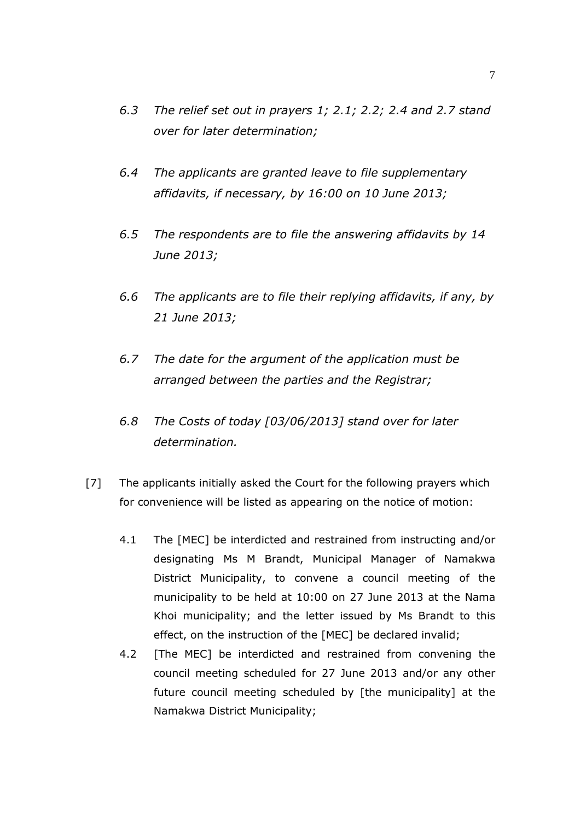- *6.3 The relief set out in prayers 1; 2.1; 2.2; 2.4 and 2.7 stand over for later determination;*
- *6.4 The applicants are granted leave to file supplementary affidavits, if necessary, by 16:00 on 10 June 2013;*
- *6.5 The respondents are to file the answering affidavits by 14 June 2013;*
- *6.6 The applicants are to file their replying affidavits, if any, by 21 June 2013;*
- *6.7 The date for the argument of the application must be arranged between the parties and the Registrar;*
- *6.8 The Costs of today [03/06/2013] stand over for later determination.*
- [7] The applicants initially asked the Court for the following prayers which for convenience will be listed as appearing on the notice of motion:
	- 4.1 The [MEC] be interdicted and restrained from instructing and/or designating Ms M Brandt, Municipal Manager of Namakwa District Municipality, to convene a council meeting of the municipality to be held at 10:00 on 27 June 2013 at the Nama Khoi municipality; and the letter issued by Ms Brandt to this effect, on the instruction of the [MEC] be declared invalid;
	- 4.2 [The MEC] be interdicted and restrained from convening the council meeting scheduled for 27 June 2013 and/or any other future council meeting scheduled by [the municipality] at the Namakwa District Municipality;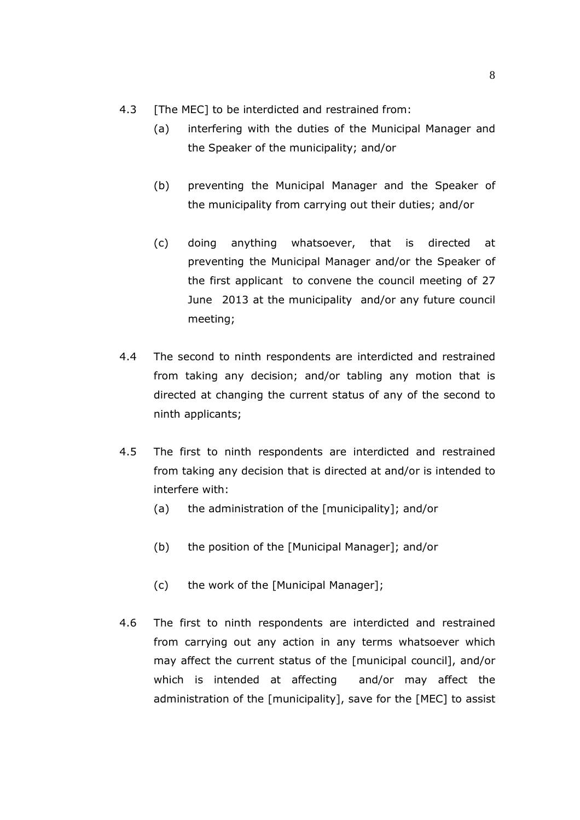- 4.3 [The MEC] to be interdicted and restrained from:
	- (a) interfering with the duties of the Municipal Manager and the Speaker of the municipality; and/or
	- (b) preventing the Municipal Manager and the Speaker of the municipality from carrying out their duties; and/or
	- (c) doing anything whatsoever, that is directed at preventing the Municipal Manager and/or the Speaker of the first applicant to convene the council meeting of 27 June 2013 at the municipality and/or any future council meeting;
- 4.4 The second to ninth respondents are interdicted and restrained from taking any decision; and/or tabling any motion that is directed at changing the current status of any of the second to ninth applicants;
- 4.5 The first to ninth respondents are interdicted and restrained from taking any decision that is directed at and/or is intended to interfere with:
	- (a) the administration of the [municipality]; and/or
	- (b) the position of the [Municipal Manager]; and/or
	- (c) the work of the [Municipal Manager];
- 4.6 The first to ninth respondents are interdicted and restrained from carrying out any action in any terms whatsoever which may affect the current status of the [municipal council], and/or which is intended at affecting and/or may affect the administration of the [municipality], save for the [MEC] to assist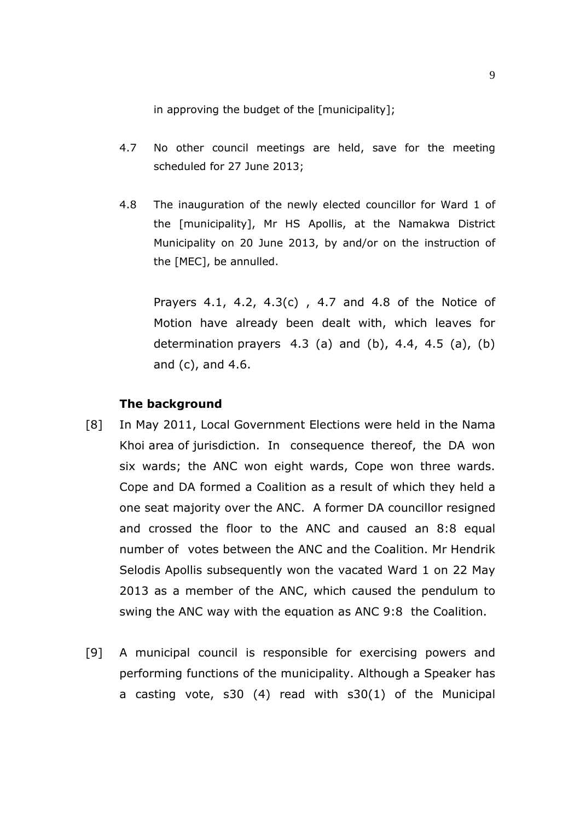in approving the budget of the [municipality];

- 4.7 No other council meetings are held, save for the meeting scheduled for 27 June 2013;
- 4.8 The inauguration of the newly elected councillor for Ward 1 of the [municipality], Mr HS Apollis, at the Namakwa District Municipality on 20 June 2013, by and/or on the instruction of the [MEC], be annulled.

 Prayers 4.1, 4.2, 4.3(c) , 4.7 and 4.8 of the Notice of Motion have already been dealt with, which leaves for determination prayers  $4.3$  (a) and (b),  $4.4$ ,  $4.5$  (a), (b) and (c), and 4.6.

#### **The background**

- [8] In May 2011, Local Government Elections were held in the Nama Khoi area of jurisdiction. In consequence thereof, the DA won six wards; the ANC won eight wards, Cope won three wards. Cope and DA formed a Coalition as a result of which they held a one seat majority over the ANC. A former DA councillor resigned and crossed the floor to the ANC and caused an 8:8 equal number of votes between the ANC and the Coalition. Mr Hendrik Selodis Apollis subsequently won the vacated Ward 1 on 22 May 2013 as a member of the ANC, which caused the pendulum to swing the ANC way with the equation as ANC 9:8 the Coalition.
- [9] A municipal council is responsible for exercising powers and performing functions of the municipality. Although a Speaker has a casting vote, s30 (4) read with s30(1) of the Municipal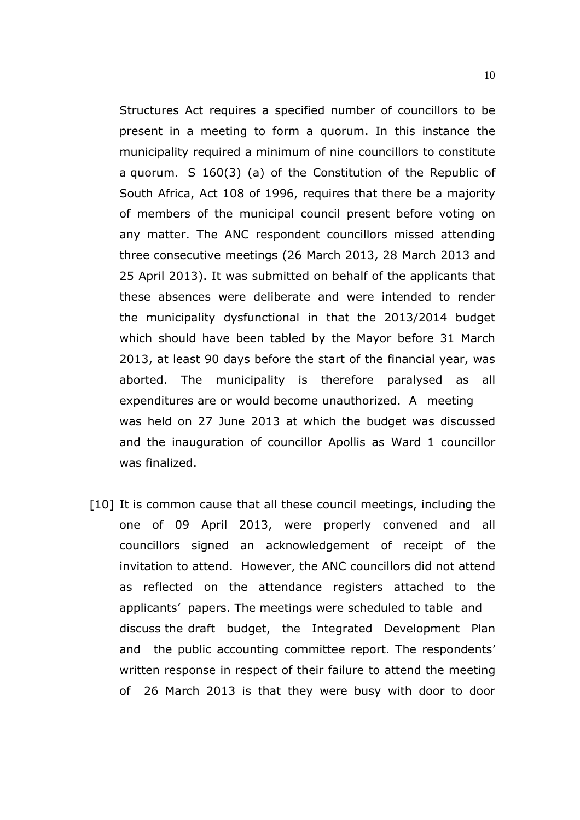Structures Act requires a specified number of councillors to be present in a meeting to form a quorum. In this instance the municipality required a minimum of nine councillors to constitute a quorum. S 160(3) (a) of the Constitution of the Republic of South Africa, Act 108 of 1996, requires that there be a majority of members of the municipal council present before voting on any matter. The ANC respondent councillors missed attending three consecutive meetings (26 March 2013, 28 March 2013 and 25 April 2013). It was submitted on behalf of the applicants that these absences were deliberate and were intended to render the municipality dysfunctional in that the 2013/2014 budget which should have been tabled by the Mayor before 31 March 2013, at least 90 days before the start of the financial year, was aborted. The municipality is therefore paralysed as all expenditures are or would become unauthorized. A meeting was held on 27 June 2013 at which the budget was discussed and the inauguration of councillor Apollis as Ward 1 councillor was finalized.

[10] It is common cause that all these council meetings, including the one of 09 April 2013, were properly convened and all councillors signed an acknowledgement of receipt of the invitation to attend. However, the ANC councillors did not attend as reflected on the attendance registers attached to the applicants' papers. The meetings were scheduled to table and discuss the draft budget, the Integrated Development Plan and the public accounting committee report. The respondents' written response in respect of their failure to attend the meeting of 26 March 2013 is that they were busy with door to door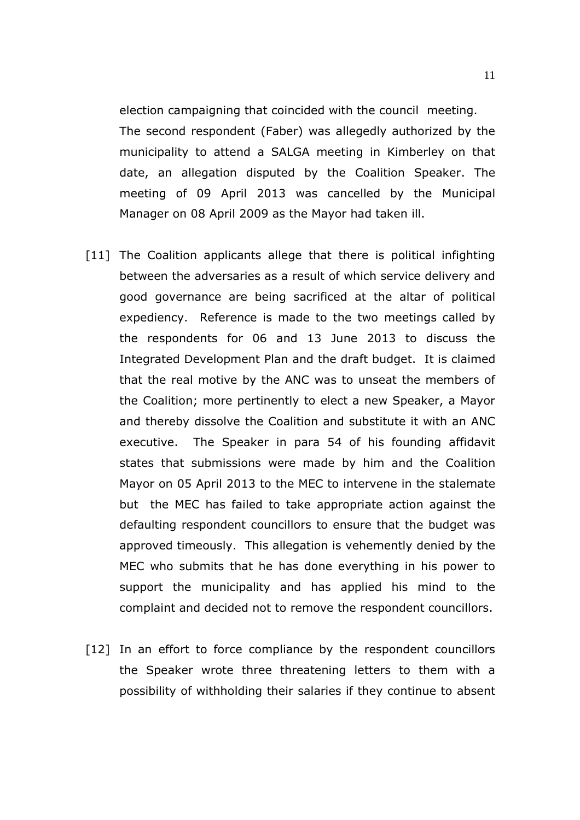election campaigning that coincided with the council meeting. The second respondent (Faber) was allegedly authorized by the municipality to attend a SALGA meeting in Kimberley on that date, an allegation disputed by the Coalition Speaker. The meeting of 09 April 2013 was cancelled by the Municipal Manager on 08 April 2009 as the Mayor had taken ill.

- [11] The Coalition applicants allege that there is political infighting between the adversaries as a result of which service delivery and good governance are being sacrificed at the altar of political expediency. Reference is made to the two meetings called by the respondents for 06 and 13 June 2013 to discuss the Integrated Development Plan and the draft budget. It is claimed that the real motive by the ANC was to unseat the members of the Coalition; more pertinently to elect a new Speaker, a Mayor and thereby dissolve the Coalition and substitute it with an ANC executive. The Speaker in para 54 of his founding affidavit states that submissions were made by him and the Coalition Mayor on 05 April 2013 to the MEC to intervene in the stalemate but the MEC has failed to take appropriate action against the defaulting respondent councillors to ensure that the budget was approved timeously. This allegation is vehemently denied by the MEC who submits that he has done everything in his power to support the municipality and has applied his mind to the complaint and decided not to remove the respondent councillors.
- [12] In an effort to force compliance by the respondent councillors the Speaker wrote three threatening letters to them with a possibility of withholding their salaries if they continue to absent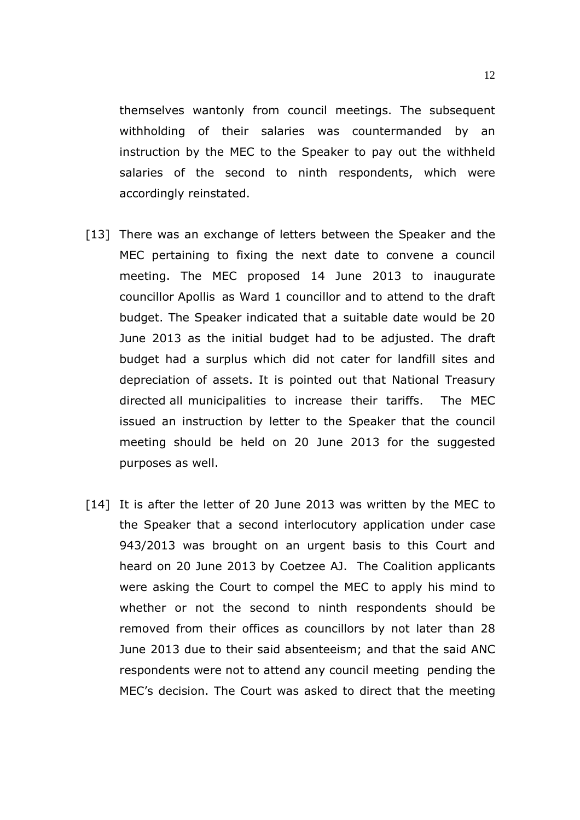themselves wantonly from council meetings. The subsequent withholding of their salaries was countermanded by an instruction by the MEC to the Speaker to pay out the withheld salaries of the second to ninth respondents, which were accordingly reinstated.

- [13] There was an exchange of letters between the Speaker and the MEC pertaining to fixing the next date to convene a council meeting. The MEC proposed 14 June 2013 to inaugurate councillor Apollis as Ward 1 councillor and to attend to the draft budget. The Speaker indicated that a suitable date would be 20 June 2013 as the initial budget had to be adjusted. The draft budget had a surplus which did not cater for landfill sites and depreciation of assets. It is pointed out that National Treasury directed all municipalities to increase their tariffs. The MEC issued an instruction by letter to the Speaker that the council meeting should be held on 20 June 2013 for the suggested purposes as well.
- [14] It is after the letter of 20 June 2013 was written by the MEC to the Speaker that a second interlocutory application under case 943/2013 was brought on an urgent basis to this Court and heard on 20 June 2013 by Coetzee AJ. The Coalition applicants were asking the Court to compel the MEC to apply his mind to whether or not the second to ninth respondents should be removed from their offices as councillors by not later than 28 June 2013 due to their said absenteeism; and that the said ANC respondents were not to attend any council meeting pending the MEC's decision. The Court was asked to direct that the meeting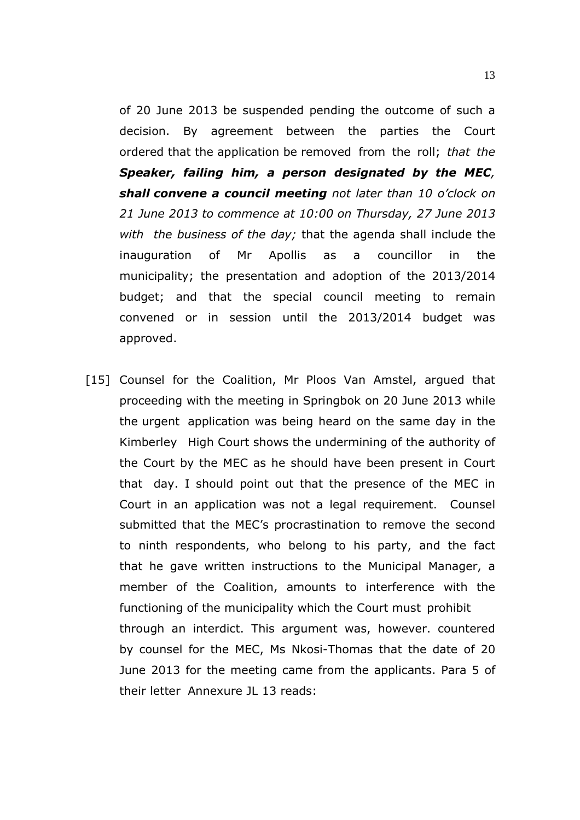of 20 June 2013 be suspended pending the outcome of such a decision. By agreement between the parties the Court ordered that the application be removed from the roll; *that the Speaker, failing him, a person designated by the MEC, shall convene a council meeting not later than 10 o'clock on 21 June 2013 to commence at 10:00 on Thursday, 27 June 2013 with the business of the day;* that the agenda shall include the inauguration of Mr Apollis as a councillor in the municipality; the presentation and adoption of the 2013/2014 budget; and that the special council meeting to remain convened or in session until the 2013/2014 budget was approved.

[15] Counsel for the Coalition, Mr Ploos Van Amstel, argued that proceeding with the meeting in Springbok on 20 June 2013 while the urgent application was being heard on the same day in the Kimberley High Court shows the undermining of the authority of the Court by the MEC as he should have been present in Court that day. I should point out that the presence of the MEC in Court in an application was not a legal requirement. Counsel submitted that the MEC's procrastination to remove the second to ninth respondents, who belong to his party, and the fact that he gave written instructions to the Municipal Manager, a member of the Coalition, amounts to interference with the functioning of the municipality which the Court must prohibit through an interdict. This argument was, however. countered by counsel for the MEC, Ms Nkosi-Thomas that the date of 20 June 2013 for the meeting came from the applicants. Para 5 of their letter Annexure JL 13 reads: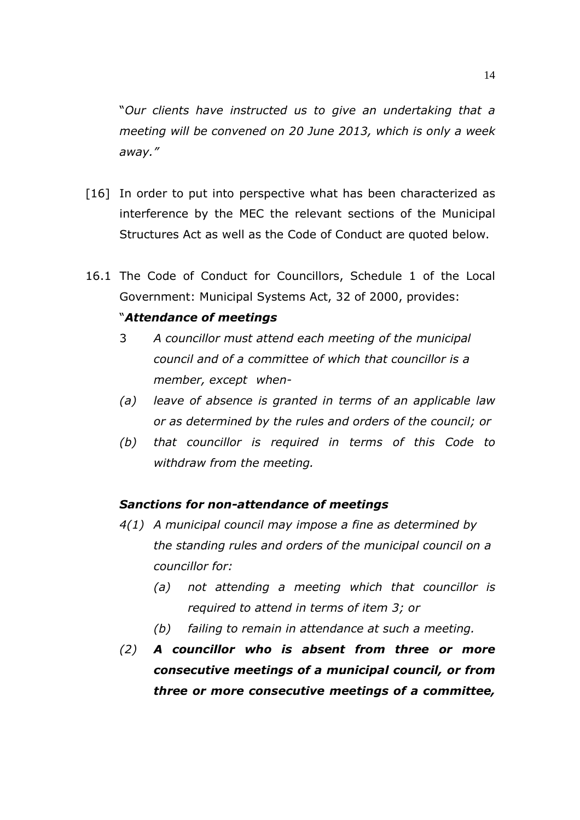"*Our clients have instructed us to give an undertaking that a meeting will be convened on 20 June 2013, which is only a week away."* 

- [16] In order to put into perspective what has been characterized as interference by the MEC the relevant sections of the Municipal Structures Act as well as the Code of Conduct are quoted below.
- 16.1 The Code of Conduct for Councillors, Schedule 1 of the Local Government: Municipal Systems Act, 32 of 2000, provides:

## "*Attendance of meetings*

- 3 *A councillor must attend each meeting of the municipal council and of a committee of which that councillor is a member, except when-*
- *(a) leave of absence is granted in terms of an applicable law or as determined by the rules and orders of the council; or*
- *(b) that councillor is required in terms of this Code to withdraw from the meeting.*

#### *Sanctions for non-attendance of meetings*

- *4(1) A municipal council may impose a fine as determined by the standing rules and orders of the municipal council on a councillor for:* 
	- *(a) not attending a meeting which that councillor is required to attend in terms of item 3; or*
	- *(b) failing to remain in attendance at such a meeting.*
- *(2) A councillor who is absent from three or more consecutive meetings of a municipal council, or from three or more consecutive meetings of a committee,*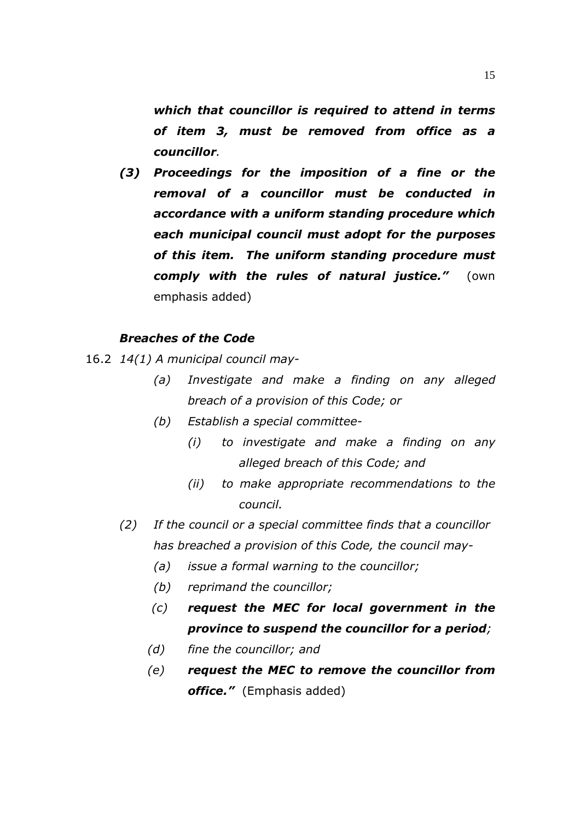*which that councillor is required to attend in terms of item 3, must be removed from office as a councillor.* 

*(3) Proceedings for the imposition of a fine or the removal of a councillor must be conducted in accordance with a uniform standing procedure which each municipal council must adopt for the purposes of this item. The uniform standing procedure must comply with the rules of natural justice."* (own emphasis added)

### *Breaches of the Code*

- 16.2 *14(1) A municipal council may-* 
	- *(a) Investigate and make a finding on any alleged breach of a provision of this Code; or*
	- *(b) Establish a special committee-* 
		- *(i) to investigate and make a finding on any alleged breach of this Code; and*
		- *(ii) to make appropriate recommendations to the council.*
	- *(2) If the council or a special committee finds that a councillor has breached a provision of this Code, the council may-* 
		- *(a) issue a formal warning to the councillor;*
		- *(b) reprimand the councillor;*
		- *(c) request the MEC for local government in the province to suspend the councillor for a period;*
		- *(d) fine the councillor; and*
		- *(e) request the MEC to remove the councillor from office."* (Emphasis added)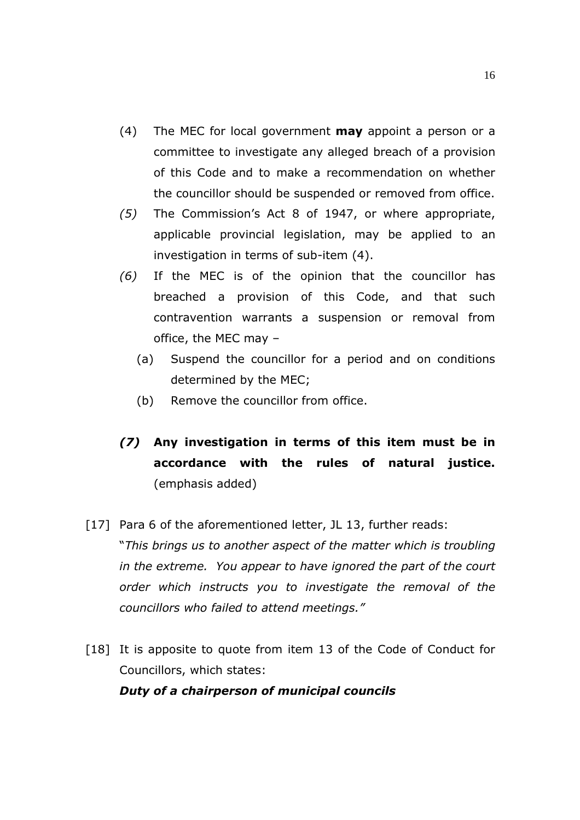- (4) The MEC for local government **may** appoint a person or a committee to investigate any alleged breach of a provision of this Code and to make a recommendation on whether the councillor should be suspended or removed from office.
- *(5)* The Commission's Act 8 of 1947, or where appropriate, applicable provincial legislation, may be applied to an investigation in terms of sub-item (4).
- *(6)* If the MEC is of the opinion that the councillor has breached a provision of this Code, and that such contravention warrants a suspension or removal from office, the MEC may –
	- (a) Suspend the councillor for a period and on conditions determined by the MEC;
	- (b) Remove the councillor from office.
- *(7)* **Any investigation in terms of this item must be in accordance with the rules of natural justice.**  (emphasis added)
- [17] Para 6 of the aforementioned letter, JL 13, further reads: "*This brings us to another aspect of the matter which is troubling in the extreme. You appear to have ignored the part of the court order which instructs you to investigate the removal of the councillors who failed to attend meetings."*
- [18] It is apposite to quote from item 13 of the Code of Conduct for Councillors, which states:

## *Duty of a chairperson of municipal councils*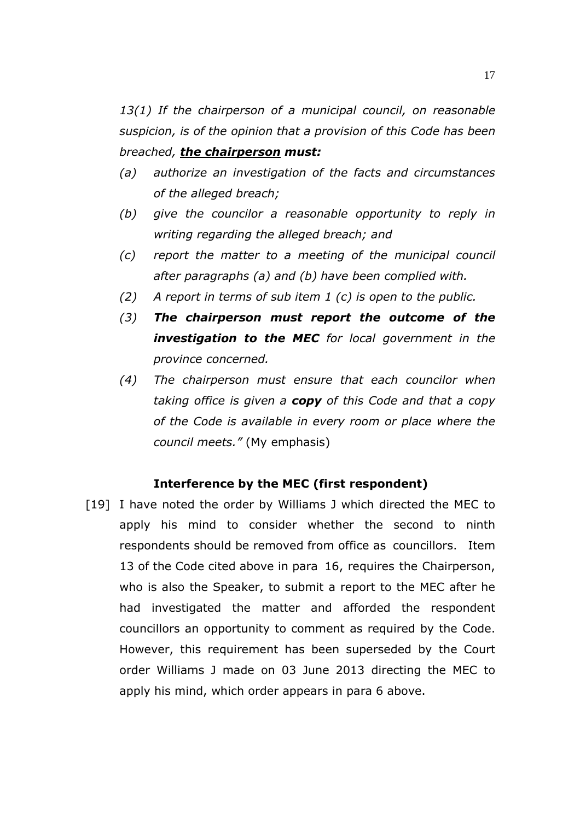*13(1) If the chairperson of a municipal council, on reasonable suspicion, is of the opinion that a provision of this Code has been breached, the chairperson must:* 

- *(a) authorize an investigation of the facts and circumstances of the alleged breach;*
- *(b) give the councilor a reasonable opportunity to reply in writing regarding the alleged breach; and*
- *(c) report the matter to a meeting of the municipal council after paragraphs (a) and (b) have been complied with.*
- *(2) A report in terms of sub item 1 (c) is open to the public.*
- *(3) The chairperson must report the outcome of the investigation to the MEC for local government in the province concerned.*
- *(4) The chairperson must ensure that each councilor when taking office is given a copy of this Code and that a copy of the Code is available in every room or place where the council meets."* (My emphasis)

#### **Interference by the MEC (first respondent)**

[19] I have noted the order by Williams J which directed the MEC to apply his mind to consider whether the second to ninth respondents should be removed from office as councillors. Item 13 of the Code cited above in para 16, requires the Chairperson, who is also the Speaker, to submit a report to the MEC after he had investigated the matter and afforded the respondent councillors an opportunity to comment as required by the Code. However, this requirement has been superseded by the Court order Williams J made on 03 June 2013 directing the MEC to apply his mind, which order appears in para 6 above.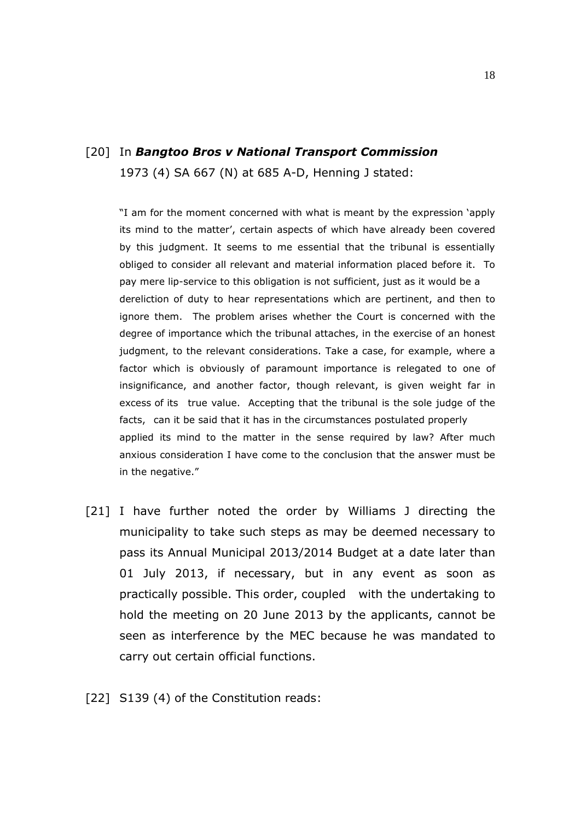## [20] In *Bangtoo Bros v National Transport Commission*  1973 (4) SA 667 (N) at 685 A-D, Henning J stated:

"I am for the moment concerned with what is meant by the expression 'apply its mind to the matter', certain aspects of which have already been covered by this judgment. It seems to me essential that the tribunal is essentially obliged to consider all relevant and material information placed before it. To pay mere lip-service to this obligation is not sufficient, just as it would be a dereliction of duty to hear representations which are pertinent, and then to ignore them. The problem arises whether the Court is concerned with the degree of importance which the tribunal attaches, in the exercise of an honest judgment, to the relevant considerations. Take a case, for example, where a factor which is obviously of paramount importance is relegated to one of insignificance, and another factor, though relevant, is given weight far in excess of its true value. Accepting that the tribunal is the sole judge of the facts, can it be said that it has in the circumstances postulated properly applied its mind to the matter in the sense required by law? After much anxious consideration I have come to the conclusion that the answer must be in the negative."

[21] I have further noted the order by Williams J directing the municipality to take such steps as may be deemed necessary to pass its Annual Municipal 2013/2014 Budget at a date later than 01 July 2013, if necessary, but in any event as soon as practically possible. This order, coupled with the undertaking to hold the meeting on 20 June 2013 by the applicants, cannot be seen as interference by the MEC because he was mandated to carry out certain official functions.

[22] S139 (4) of the Constitution reads: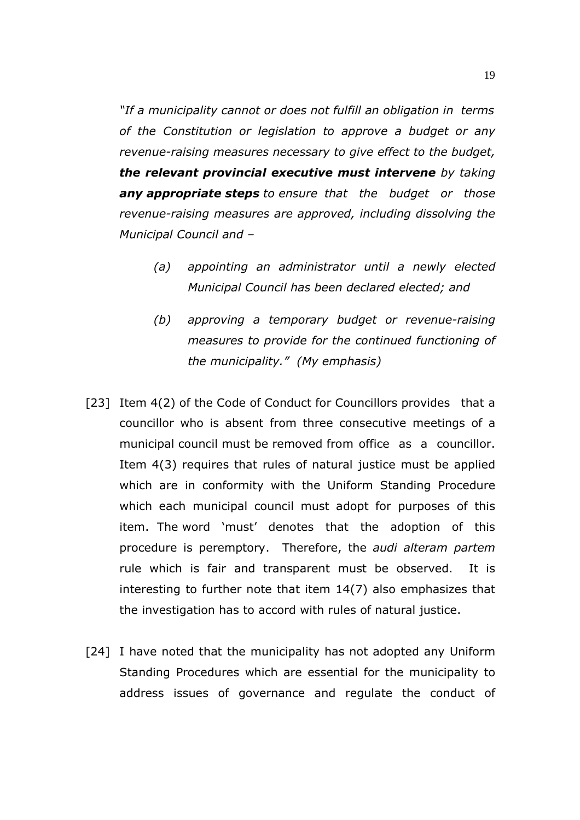*"If a municipality cannot or does not fulfill an obligation in terms of the Constitution or legislation to approve a budget or any revenue-raising measures necessary to give effect to the budget, the relevant provincial executive must intervene by taking any appropriate steps to ensure that the budget or those revenue-raising measures are approved, including dissolving the Municipal Council and –* 

- *(a) appointing an administrator until a newly elected Municipal Council has been declared elected; and*
- *(b) approving a temporary budget or revenue-raising measures to provide for the continued functioning of the municipality." (My emphasis)*
- [23] Item 4(2) of the Code of Conduct for Councillors provides that a councillor who is absent from three consecutive meetings of a municipal council must be removed from office as a councillor. Item 4(3) requires that rules of natural justice must be applied which are in conformity with the Uniform Standing Procedure which each municipal council must adopt for purposes of this item. The word 'must' denotes that the adoption of this procedure is peremptory. Therefore, the *audi alteram partem* rule which is fair and transparent must be observed. It is interesting to further note that item 14(7) also emphasizes that the investigation has to accord with rules of natural justice.
- [24] I have noted that the municipality has not adopted any Uniform Standing Procedures which are essential for the municipality to address issues of governance and regulate the conduct of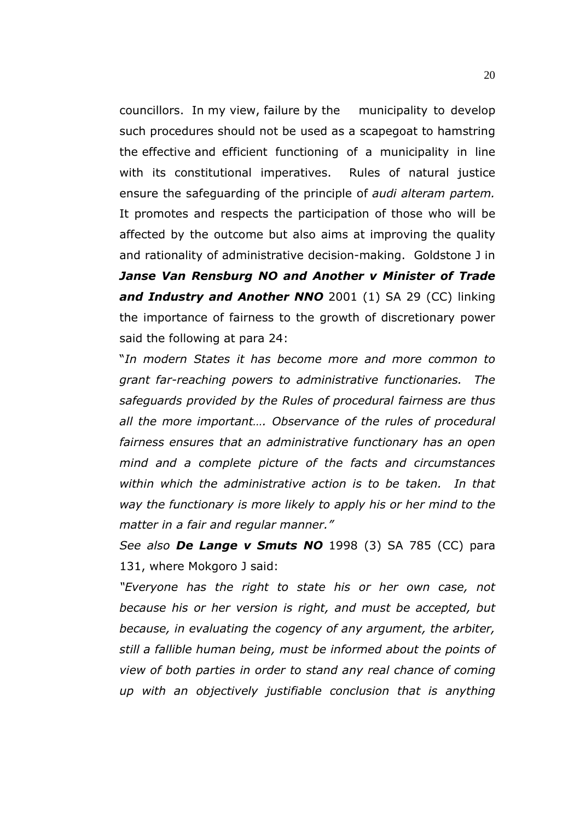councillors. In my view, failure by the municipality to develop such procedures should not be used as a scapegoat to hamstring the effective and efficient functioning of a municipality in line with its constitutional imperatives. Rules of natural justice ensure the safeguarding of the principle of *audi alteram partem.*  It promotes and respects the participation of those who will be affected by the outcome but also aims at improving the quality and rationality of administrative decision-making. Goldstone J in *Janse Van Rensburg NO and Another v Minister of Trade*  and Industry and Another NNO 2001 (1) SA 29 (CC) linking the importance of fairness to the growth of discretionary power said the following at para 24:

 "*In modern States it has become more and more common to grant far-reaching powers to administrative functionaries. The safeguards provided by the Rules of procedural fairness are thus all the more important…. Observance of the rules of procedural fairness ensures that an administrative functionary has an open mind and a complete picture of the facts and circumstances within which the administrative action is to be taken. In that way the functionary is more likely to apply his or her mind to the matter in a fair and regular manner."* 

 *See also De Lange v Smuts NO* 1998 (3) SA 785 (CC) para 131, where Mokgoro J said:

 *"Everyone has the right to state his or her own case, not because his or her version is right, and must be accepted, but because, in evaluating the cogency of any argument, the arbiter, still a fallible human being, must be informed about the points of view of both parties in order to stand any real chance of coming up with an objectively justifiable conclusion that is anything*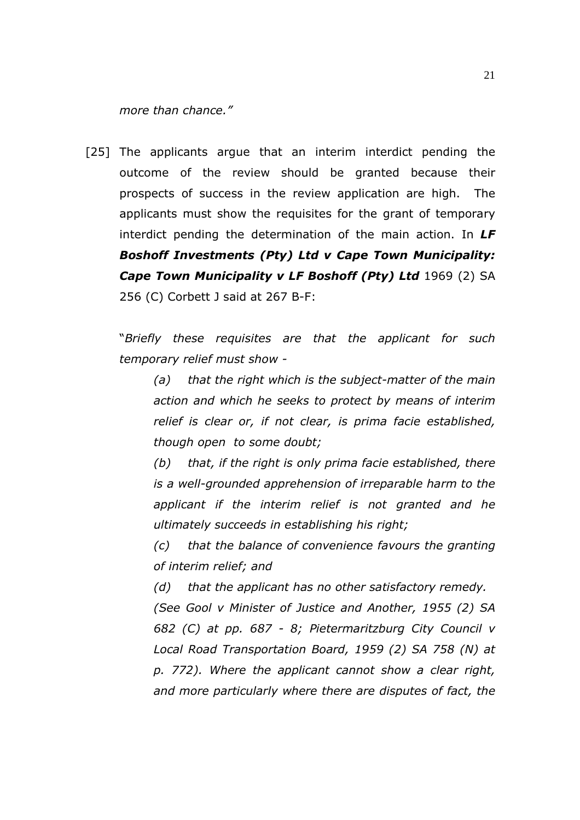*more than chance."*

[25] The applicants argue that an interim interdict pending the outcome of the review should be granted because their prospects of success in the review application are high. The applicants must show the requisites for the grant of temporary interdict pending the determination of the main action. In *LF Boshoff Investments (Pty) Ltd v Cape Town Municipality: Cape Town Municipality v LF Boshoff (Pty) Ltd* **1969 (2) SA** 256 (C) Corbett J said at 267 B-F:

 "*Briefly these requisites are that the applicant for such temporary relief must show -* 

*(a) that the right which is the subject-matter of the main action and which he seeks to protect by means of interim relief is clear or, if not clear, is prima facie established, though open to some doubt;* 

*(b) that, if the right is only prima facie established, there is a well-grounded apprehension of irreparable harm to the applicant if the interim relief is not granted and he ultimately succeeds in establishing his right;* 

*(c) that the balance of convenience favours the granting of interim relief; and* 

 *(d) that the applicant has no other satisfactory remedy. (See Gool v Minister of Justice and Another, 1955 (2) SA 682 (C) at pp. 687 - 8; Pietermaritzburg City Council v Local Road Transportation Board, 1959 (2) SA 758 (N) at p. 772). Where the applicant cannot show a clear right,*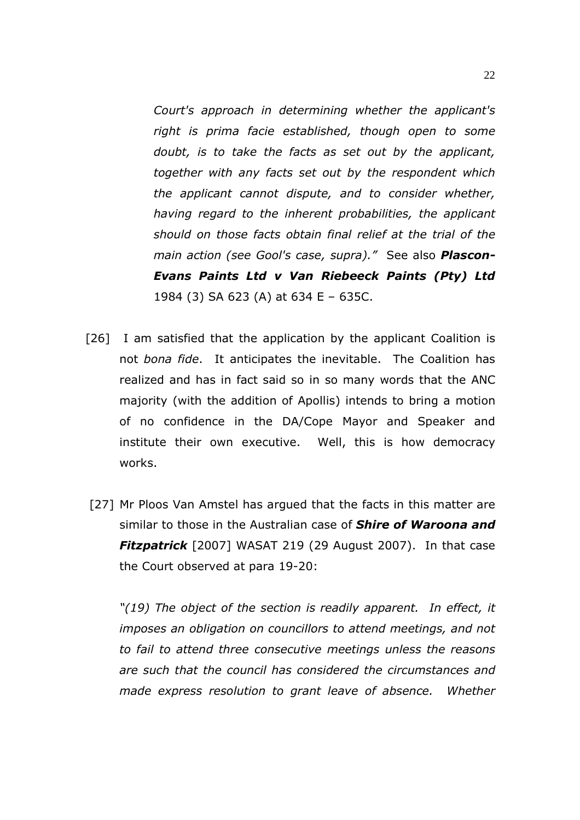*Court's approach in determining whether the applicant's right is prima facie established, though open to some doubt, is to take the facts as set out by the applicant, together with any facts set out by the respondent which the applicant cannot dispute, and to consider whether, having regard to the inherent probabilities, the applicant should on those facts obtain final relief at the trial of the main action (see Gool's case, supra)."* See also *Plascon-Evans Paints Ltd v Van Riebeeck Paints (Pty) Ltd*  1984 (3) SA 623 (A) at 634 E – 635C.

- [26] I am satisfied that the application by the applicant Coalition is not *bona fide*. It anticipates the inevitable. The Coalition has realized and has in fact said so in so many words that the ANC majority (with the addition of Apollis) intends to bring a motion of no confidence in the DA/Cope Mayor and Speaker and institute their own executive. Well, this is how democracy works.
- [27] Mr Ploos Van Amstel has argued that the facts in this matter are similar to those in the Australian case of *Shire of Waroona and*  **Fitzpatrick** [2007] WASAT 219 (29 August 2007). In that case the Court observed at para 19-20:

*"(19) The object of the section is readily apparent. In effect, it imposes an obligation on councillors to attend meetings, and not to fail to attend three consecutive meetings unless the reasons are such that the council has considered the circumstances and made express resolution to grant leave of absence. Whether*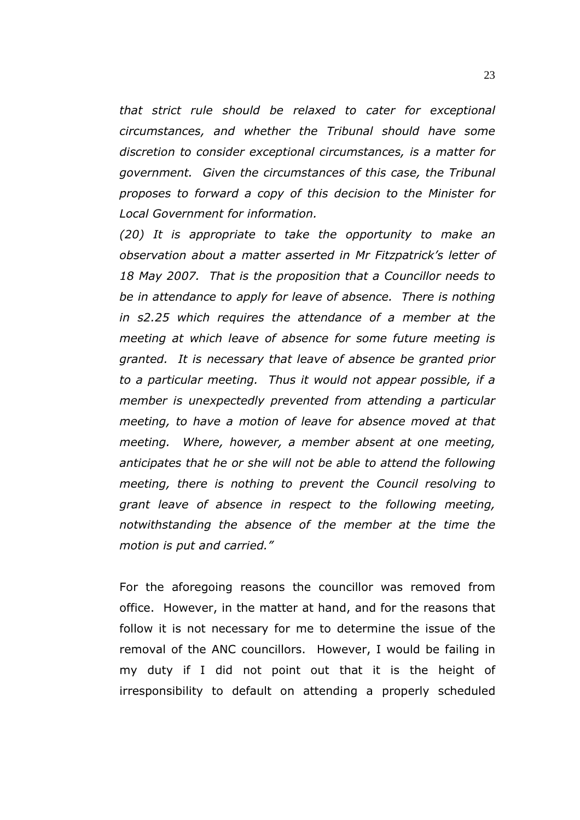*that strict rule should be relaxed to cater for exceptional circumstances, and whether the Tribunal should have some discretion to consider exceptional circumstances, is a matter for government. Given the circumstances of this case, the Tribunal proposes to forward a copy of this decision to the Minister for Local Government for information.* 

*(20) It is appropriate to take the opportunity to make an observation about a matter asserted in Mr Fitzpatrick's letter of 18 May 2007. That is the proposition that a Councillor needs to be in attendance to apply for leave of absence. There is nothing in s2.25 which requires the attendance of a member at the meeting at which leave of absence for some future meeting is granted. It is necessary that leave of absence be granted prior to a particular meeting. Thus it would not appear possible, if a member is unexpectedly prevented from attending a particular meeting, to have a motion of leave for absence moved at that meeting. Where, however, a member absent at one meeting, anticipates that he or she will not be able to attend the following meeting, there is nothing to prevent the Council resolving to grant leave of absence in respect to the following meeting, notwithstanding the absence of the member at the time the motion is put and carried."* 

 For the aforegoing reasons the councillor was removed from office. However, in the matter at hand, and for the reasons that follow it is not necessary for me to determine the issue of the removal of the ANC councillors. However, I would be failing in my duty if I did not point out that it is the height of irresponsibility to default on attending a properly scheduled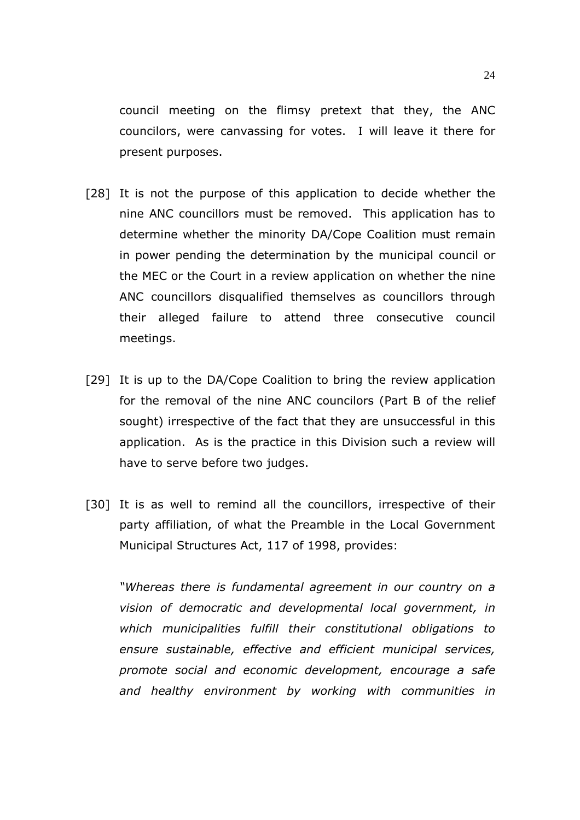council meeting on the flimsy pretext that they, the ANC councilors, were canvassing for votes. I will leave it there for present purposes.

- [28] It is not the purpose of this application to decide whether the nine ANC councillors must be removed. This application has to determine whether the minority DA/Cope Coalition must remain in power pending the determination by the municipal council or the MEC or the Court in a review application on whether the nine ANC councillors disqualified themselves as councillors through their alleged failure to attend three consecutive council meetings.
- [29] It is up to the DA/Cope Coalition to bring the review application for the removal of the nine ANC councilors (Part B of the relief sought) irrespective of the fact that they are unsuccessful in this application. As is the practice in this Division such a review will have to serve before two judges.
- [30] It is as well to remind all the councillors, irrespective of their party affiliation, of what the Preamble in the Local Government Municipal Structures Act, 117 of 1998, provides:

*"Whereas there is fundamental agreement in our country on a vision of democratic and developmental local government, in which municipalities fulfill their constitutional obligations to ensure sustainable, effective and efficient municipal services, promote social and economic development, encourage a safe and healthy environment by working with communities in*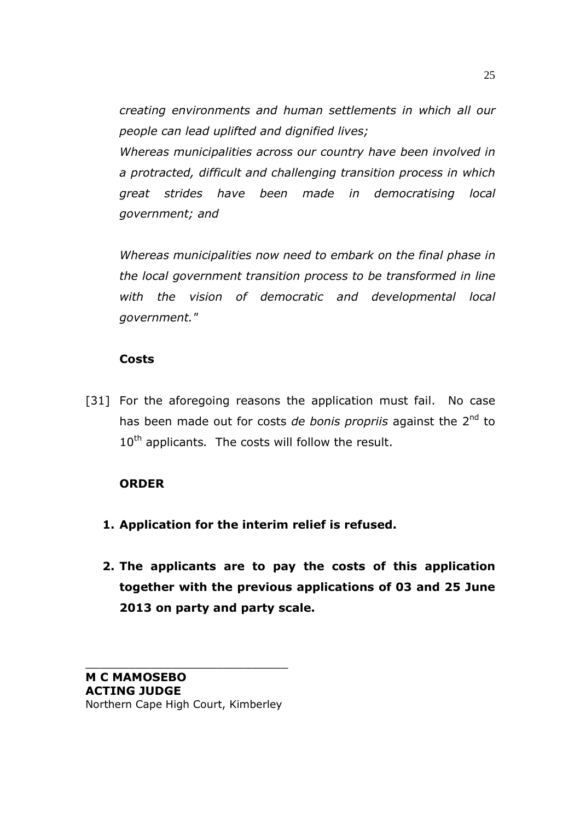*creating environments and human settlements in which all our people can lead uplifted and dignified lives;* 

 *Whereas municipalities across our country have been involved in a protracted, difficult and challenging transition process in which great strides have been made in democratising local government; and* 

 *Whereas municipalities now need to embark on the final phase in the local government transition process to be transformed in line with the vision of democratic and developmental local government."* 

## **Costs**

[31] For the aforegoing reasons the application must fail. No case has been made out for costs *de bonis propriis* against the 2nd to 10<sup>th</sup> applicants. The costs will follow the result.

## **ORDER**

- **1. Application for the interim relief is refused.**
- **2. The applicants are to pay the costs of this application together with the previous applications of 03 and 25 June 2013 on party and party scale.**

\_\_\_\_\_\_\_\_\_\_\_\_\_\_\_\_\_\_\_\_\_\_\_\_\_\_\_\_